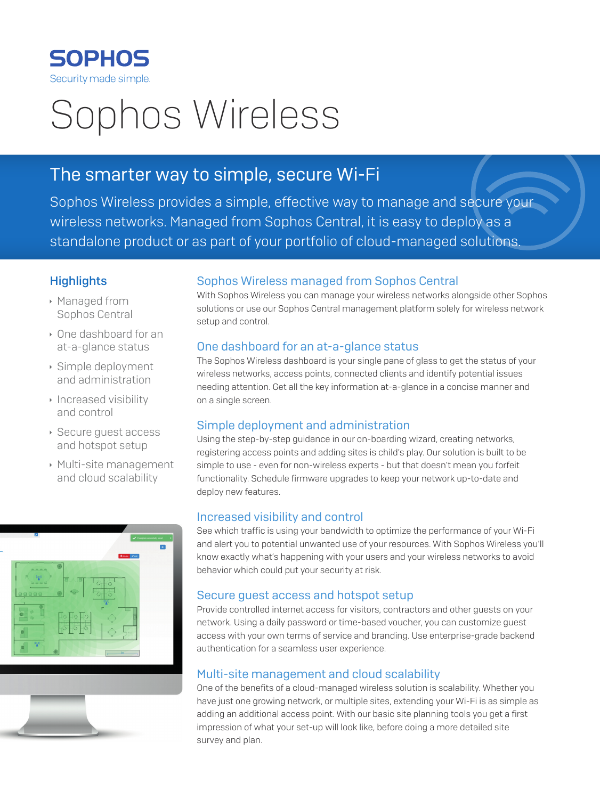

# Sophos Wireless

## The smarter way to simple, secure Wi-Fi

Sophos Wireless provides a simple, effective way to manage and secure your wireless networks. Managed from Sophos Central, it is easy to deploy as a standalone product or as part of your portfolio of cloud-managed solutions.

### **Highlights**

- **Managed from** Sophos Central
- **One dashboard for an** at-a-glance status
- $\rightarrow$  Simple deployment and administration
- $\cdot$  Increased visibility and control
- **Secure guest access** and hotspot setup
- **Multi-site management** and cloud scalability



#### Sophos Wireless managed from Sophos Central

With Sophos Wireless you can manage your wireless networks alongside other Sophos solutions or use our Sophos Central management platform solely for wireless network setup and control.

#### One dashboard for an at-a-glance status

The Sophos Wireless dashboard is your single pane of glass to get the status of your wireless networks, access points, connected clients and identify potential issues needing attention. Get all the key information at-a-glance in a concise manner and on a single screen.

#### Simple deployment and administration

Using the step-by-step guidance in our on-boarding wizard, creating networks, registering access points and adding sites is child's play. Our solution is built to be simple to use - even for non-wireless experts - but that doesn't mean you forfeit functionality. Schedule firmware upgrades to keep your network up-to-date and deploy new features.

#### Increased visibility and control

See which traffic is using your bandwidth to optimize the performance of your Wi-Fi and alert you to potential unwanted use of your resources. With Sophos Wireless you'll know exactly what's happening with your users and your wireless networks to avoid behavior which could put your security at risk.

#### Secure guest access and hotspot setup

Provide controlled internet access for visitors, contractors and other guests on your network. Using a daily password or time-based voucher, you can customize guest access with your own terms of service and branding. Use enterprise-grade backend authentication for a seamless user experience.

#### Multi-site management and cloud scalability

One of the benefits of a cloud-managed wireless solution is scalability. Whether you have just one growing network, or multiple sites, extending your Wi-Fi is as simple as adding an additional access point. With our basic site planning tools you get a first impression of what your set-up will look like, before doing a more detailed site survey and plan.